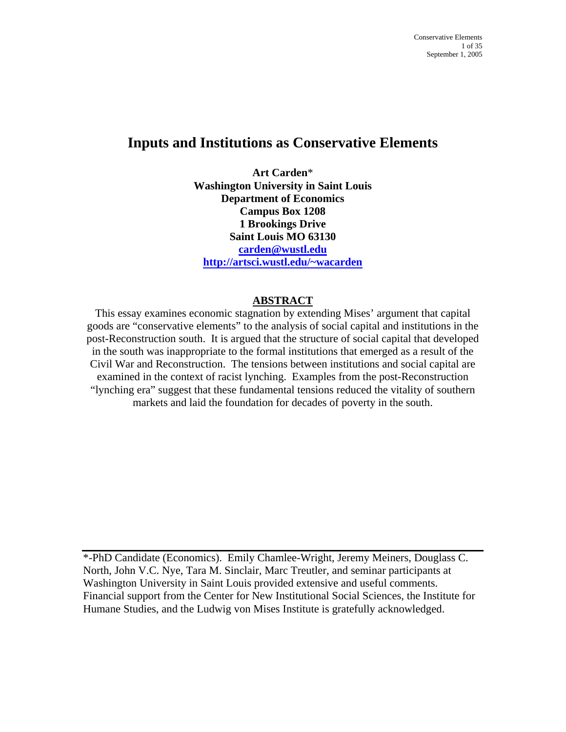# **Inputs and Institutions as Conservative Elements**

**Art Carden**\* **Washington University in Saint Louis Department of Economics Campus Box 1208 1 Brookings Drive Saint Louis MO 63130 [carden@wustl.edu](mailto:carden@wustl.edu) [http://artsci.wustl.edu/~wacarden](http://artsci.wustl.edu/%7Ewacarden)**

### **ABSTRACT**

This essay examines economic stagnation by extending Mises' argument that capital goods are "conservative elements" to the analysis of social capital and institutions in the post-Reconstruction south. It is argued that the structure of social capital that developed in the south was inappropriate to the formal institutions that emerged as a result of the Civil War and Reconstruction. The tensions between institutions and social capital are examined in the context of racist lynching. Examples from the post-Reconstruction "lynching era" suggest that these fundamental tensions reduced the vitality of southern markets and laid the foundation for decades of poverty in the south.

\*-PhD Candidate (Economics). Emily Chamlee-Wright, Jeremy Meiners, Douglass C. North, John V.C. Nye, Tara M. Sinclair, Marc Treutler, and seminar participants at Washington University in Saint Louis provided extensive and useful comments. Financial support from the Center for New Institutional Social Sciences, the Institute for Humane Studies, and the Ludwig von Mises Institute is gratefully acknowledged.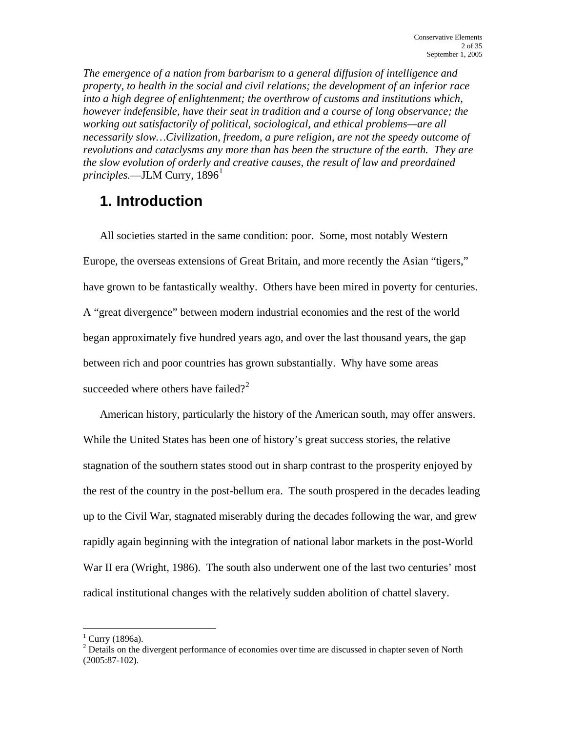*The emergence of a nation from barbarism to a general diffusion of intelligence and property, to health in the social and civil relations; the development of an inferior race into a high degree of enlightenment; the overthrow of customs and institutions which, however indefensible, have their seat in tradition and a course of long observance; the working out satisfactorily of political, sociological, and ethical problems—are all necessarily slow…Civilization, freedom, a pure religion, are not the speedy outcome of revolutions and cataclysms any more than has been the structure of the earth. They are the slow evolution of orderly and creative causes, the result of law and preordained principles.—JLM Curry,* [1](#page-1-0)896<sup>1</sup>

# **1. Introduction**

All societies started in the same condition: poor. Some, most notably Western Europe, the overseas extensions of Great Britain, and more recently the Asian "tigers," have grown to be fantastically wealthy. Others have been mired in poverty for centuries. A "great divergence" between modern industrial economies and the rest of the world began approximately five hundred years ago, and over the last thousand years, the gap between rich and poor countries has grown substantially. Why have some areas succeeded where others have failed?<sup>[2](#page-1-1)</sup>

American history, particularly the history of the American south, may offer answers. While the United States has been one of history's great success stories, the relative stagnation of the southern states stood out in sharp contrast to the prosperity enjoyed by the rest of the country in the post-bellum era. The south prospered in the decades leading up to the Civil War, stagnated miserably during the decades following the war, and grew rapidly again beginning with the integration of national labor markets in the post-World War II era (Wright, 1986). The south also underwent one of the last two centuries' most radical institutional changes with the relatively sudden abolition of chattel slavery.

<span id="page-1-0"></span> $<sup>1</sup>$  Curry (1896a).</sup>

<span id="page-1-1"></span> $2^{2}$  Details on the divergent performance of economies over time are discussed in chapter seven of North (2005:87-102).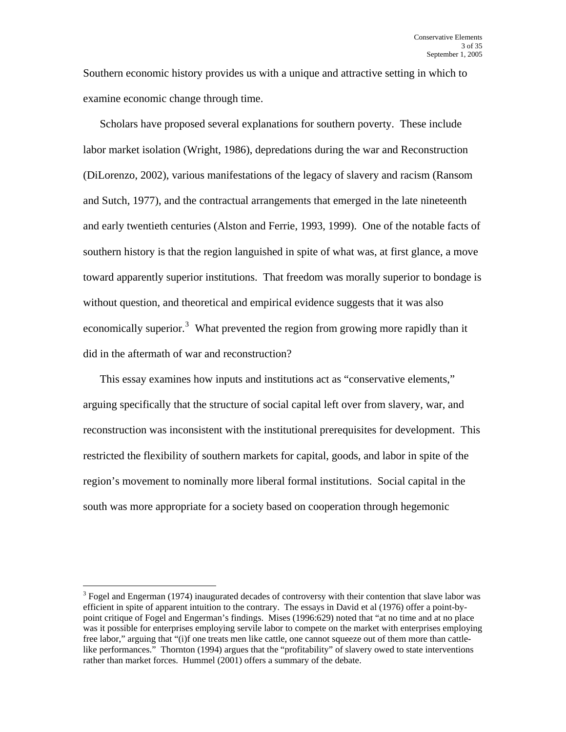Southern economic history provides us with a unique and attractive setting in which to examine economic change through time.

Scholars have proposed several explanations for southern poverty. These include labor market isolation (Wright, 1986), depredations during the war and Reconstruction (DiLorenzo, 2002), various manifestations of the legacy of slavery and racism (Ransom and Sutch, 1977), and the contractual arrangements that emerged in the late nineteenth and early twentieth centuries (Alston and Ferrie, 1993, 1999). One of the notable facts of southern history is that the region languished in spite of what was, at first glance, a move toward apparently superior institutions. That freedom was morally superior to bondage is without question, and theoretical and empirical evidence suggests that it was also economically superior.<sup>[3](#page-2-0)</sup> What prevented the region from growing more rapidly than it did in the aftermath of war and reconstruction?

This essay examines how inputs and institutions act as "conservative elements," arguing specifically that the structure of social capital left over from slavery, war, and reconstruction was inconsistent with the institutional prerequisites for development. This restricted the flexibility of southern markets for capital, goods, and labor in spite of the region's movement to nominally more liberal formal institutions. Social capital in the south was more appropriate for a society based on cooperation through hegemonic

<span id="page-2-0"></span> $3$  Fogel and Engerman (1974) inaugurated decades of controversy with their contention that slave labor was efficient in spite of apparent intuition to the contrary. The essays in David et al (1976) offer a point-bypoint critique of Fogel and Engerman's findings. Mises (1996:629) noted that "at no time and at no place was it possible for enterprises employing servile labor to compete on the market with enterprises employing free labor," arguing that "(i)f one treats men like cattle, one cannot squeeze out of them more than cattlelike performances." Thornton (1994) argues that the "profitability" of slavery owed to state interventions rather than market forces. Hummel (2001) offers a summary of the debate.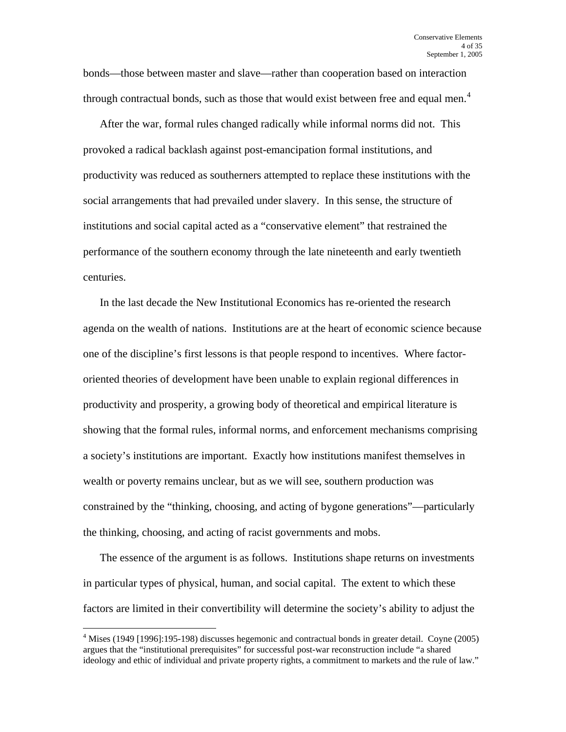bonds—those between master and slave—rather than cooperation based on interaction through contractual bonds, such as those that would exist between free and equal men.<sup>[4](#page-3-0)</sup>

After the war, formal rules changed radically while informal norms did not. This provoked a radical backlash against post-emancipation formal institutions, and productivity was reduced as southerners attempted to replace these institutions with the social arrangements that had prevailed under slavery. In this sense, the structure of institutions and social capital acted as a "conservative element" that restrained the performance of the southern economy through the late nineteenth and early twentieth centuries.

In the last decade the New Institutional Economics has re-oriented the research agenda on the wealth of nations. Institutions are at the heart of economic science because one of the discipline's first lessons is that people respond to incentives. Where factororiented theories of development have been unable to explain regional differences in productivity and prosperity, a growing body of theoretical and empirical literature is showing that the formal rules, informal norms, and enforcement mechanisms comprising a society's institutions are important. Exactly how institutions manifest themselves in wealth or poverty remains unclear, but as we will see, southern production was constrained by the "thinking, choosing, and acting of bygone generations"—particularly the thinking, choosing, and acting of racist governments and mobs.

The essence of the argument is as follows. Institutions shape returns on investments in particular types of physical, human, and social capital. The extent to which these factors are limited in their convertibility will determine the society's ability to adjust the

<span id="page-3-0"></span><sup>&</sup>lt;sup>4</sup> Mises (1949 [1996]:195-198) discusses hegemonic and contractual bonds in greater detail. Coyne (2005) argues that the "institutional prerequisites" for successful post-war reconstruction include "a shared ideology and ethic of individual and private property rights, a commitment to markets and the rule of law."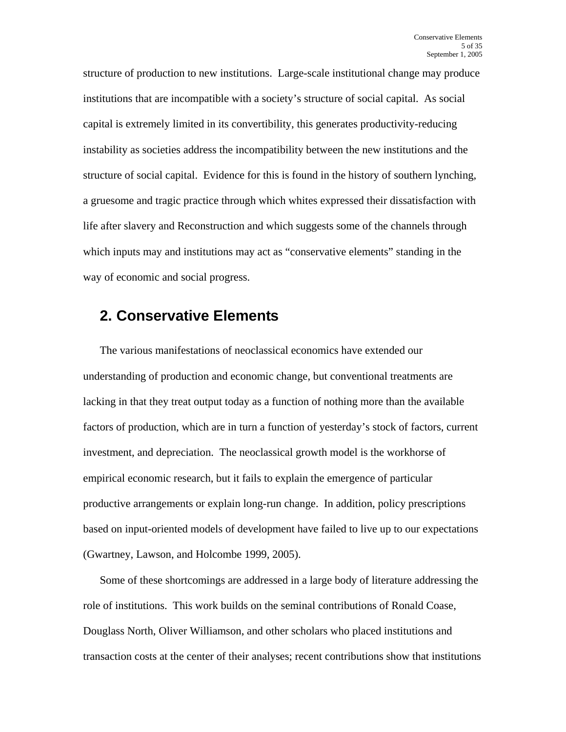structure of production to new institutions. Large-scale institutional change may produce institutions that are incompatible with a society's structure of social capital. As social capital is extremely limited in its convertibility, this generates productivity-reducing instability as societies address the incompatibility between the new institutions and the structure of social capital. Evidence for this is found in the history of southern lynching, a gruesome and tragic practice through which whites expressed their dissatisfaction with life after slavery and Reconstruction and which suggests some of the channels through which inputs may and institutions may act as "conservative elements" standing in the way of economic and social progress.

## **2. Conservative Elements**

The various manifestations of neoclassical economics have extended our understanding of production and economic change, but conventional treatments are lacking in that they treat output today as a function of nothing more than the available factors of production, which are in turn a function of yesterday's stock of factors, current investment, and depreciation. The neoclassical growth model is the workhorse of empirical economic research, but it fails to explain the emergence of particular productive arrangements or explain long-run change. In addition, policy prescriptions based on input-oriented models of development have failed to live up to our expectations (Gwartney, Lawson, and Holcombe 1999, 2005).

Some of these shortcomings are addressed in a large body of literature addressing the role of institutions. This work builds on the seminal contributions of Ronald Coase, Douglass North, Oliver Williamson, and other scholars who placed institutions and transaction costs at the center of their analyses; recent contributions show that institutions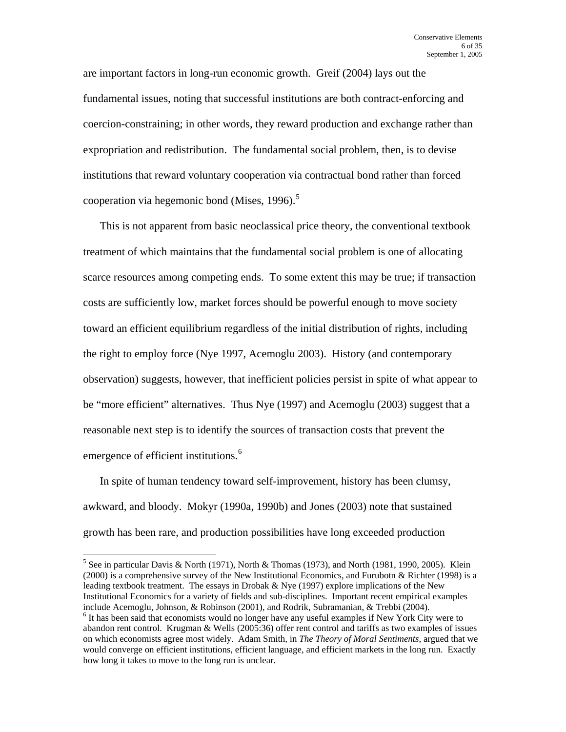are important factors in long-run economic growth. Greif (2004) lays out the fundamental issues, noting that successful institutions are both contract-enforcing and coercion-constraining; in other words, they reward production and exchange rather than expropriation and redistribution. The fundamental social problem, then, is to devise institutions that reward voluntary cooperation via contractual bond rather than forced cooperation via hegemonic bond (Mises, 1996).<sup>[5](#page-5-0)</sup>

This is not apparent from basic neoclassical price theory, the conventional textbook treatment of which maintains that the fundamental social problem is one of allocating scarce resources among competing ends. To some extent this may be true; if transaction costs are sufficiently low, market forces should be powerful enough to move society toward an efficient equilibrium regardless of the initial distribution of rights, including the right to employ force (Nye 1997, Acemoglu 2003). History (and contemporary observation) suggests, however, that inefficient policies persist in spite of what appear to be "more efficient" alternatives. Thus Nye (1997) and Acemoglu (2003) suggest that a reasonable next step is to identify the sources of transaction costs that prevent the emergence of efficient institutions.<sup>[6](#page-5-1)</sup>

In spite of human tendency toward self-improvement, history has been clumsy, awkward, and bloody. Mokyr (1990a, 1990b) and Jones (2003) note that sustained growth has been rare, and production possibilities have long exceeded production

<span id="page-5-0"></span><sup>&</sup>lt;sup>5</sup> See in particular Davis & North (1971), North & Thomas (1973), and North (1981, 1990, 2005). Klein (2000) is a comprehensive survey of the New Institutional Economics, and Furubotn & Richter (1998) is a leading textbook treatment. The essays in Drobak & Nye (1997) explore implications of the New Institutional Economics for a variety of fields and sub-disciplines. Important recent empirical examples include Acemoglu, Johnson, & Robinson (2001), and Rodrik, Subramanian, & Trebbi (2004).

<span id="page-5-1"></span><sup>&</sup>lt;sup>6</sup> It has been said that economists would no longer have any useful examples if New York City were to abandon rent control. Krugman & Wells (2005:36) offer rent control and tariffs as two examples of issues on which economists agree most widely. Adam Smith, in *The Theory of Moral Sentiments*, argued that we would converge on efficient institutions, efficient language, and efficient markets in the long run. Exactly how long it takes to move to the long run is unclear.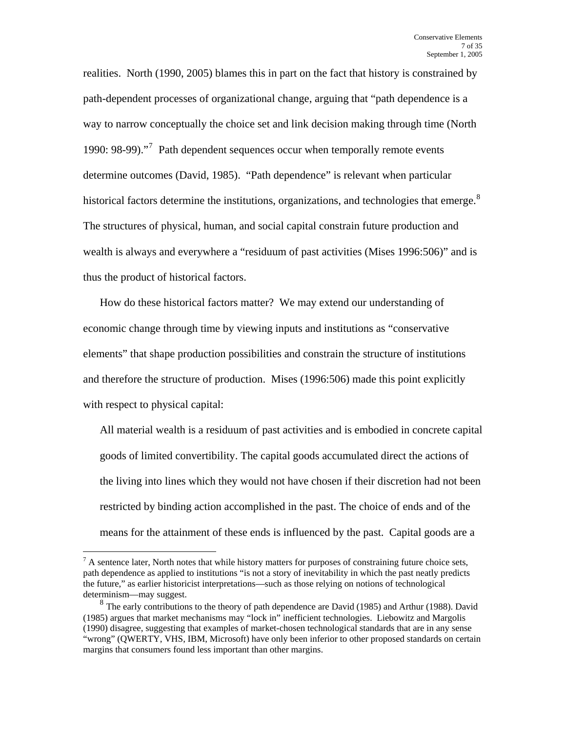realities. North (1990, 2005) blames this in part on the fact that history is constrained by path-dependent processes of organizational change, arguing that "path dependence is a way to narrow conceptually the choice set and link decision making through time (North 1990: 98-99)."<sup>[7](#page-6-0)</sup> Path dependent sequences occur when temporally remote events determine outcomes (David, 1985). "Path dependence" is relevant when particular historical factors determine the institutions, organizations, and technologies that emerge. $8$ The structures of physical, human, and social capital constrain future production and wealth is always and everywhere a "residuum of past activities (Mises 1996:506)" and is thus the product of historical factors.

How do these historical factors matter? We may extend our understanding of economic change through time by viewing inputs and institutions as "conservative elements" that shape production possibilities and constrain the structure of institutions and therefore the structure of production. Mises (1996:506) made this point explicitly with respect to physical capital:

All material wealth is a residuum of past activities and is embodied in concrete capital goods of limited convertibility. The capital goods accumulated direct the actions of the living into lines which they would not have chosen if their discretion had not been restricted by binding action accomplished in the past. The choice of ends and of the means for the attainment of these ends is influenced by the past. Capital goods are a

<u>.</u>

<span id="page-6-0"></span> $<sup>7</sup>$  A sentence later, North notes that while history matters for purposes of constraining future choice sets,</sup> path dependence as applied to institutions "is not a story of inevitability in which the past neatly predicts the future," as earlier historicist interpretations—such as those relying on notions of technological determinism—may suggest.

<span id="page-6-1"></span><sup>&</sup>lt;sup>8</sup> The early contributions to the theory of path dependence are David (1985) and Arthur (1988). David (1985) argues that market mechanisms may "lock in" inefficient technologies. Liebowitz and Margolis (1990) disagree, suggesting that examples of market-chosen technological standards that are in any sense "wrong" (QWERTY, VHS, IBM, Microsoft) have only been inferior to other proposed standards on certain margins that consumers found less important than other margins.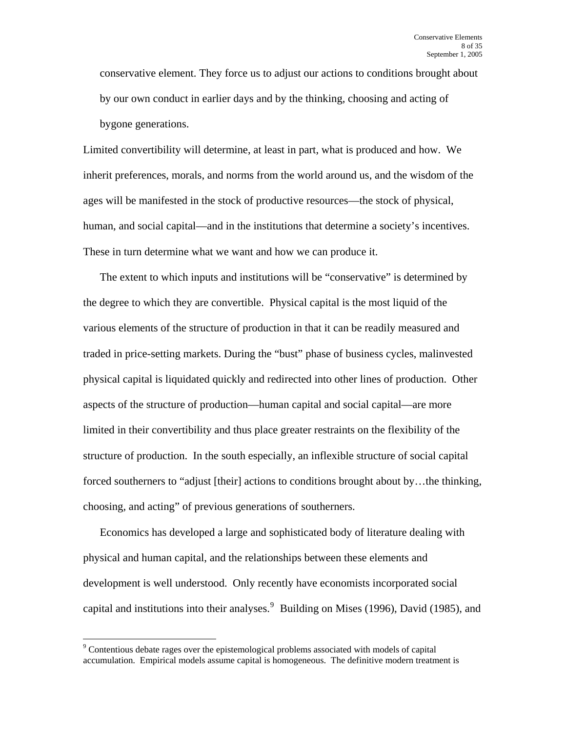conservative element. They force us to adjust our actions to conditions brought about by our own conduct in earlier days and by the thinking, choosing and acting of bygone generations.

Limited convertibility will determine, at least in part, what is produced and how. We inherit preferences, morals, and norms from the world around us, and the wisdom of the ages will be manifested in the stock of productive resources—the stock of physical, human, and social capital—and in the institutions that determine a society's incentives. These in turn determine what we want and how we can produce it.

The extent to which inputs and institutions will be "conservative" is determined by the degree to which they are convertible. Physical capital is the most liquid of the various elements of the structure of production in that it can be readily measured and traded in price-setting markets. During the "bust" phase of business cycles, malinvested physical capital is liquidated quickly and redirected into other lines of production. Other aspects of the structure of production—human capital and social capital—are more limited in their convertibility and thus place greater restraints on the flexibility of the structure of production. In the south especially, an inflexible structure of social capital forced southerners to "adjust [their] actions to conditions brought about by...the thinking, choosing, and acting" of previous generations of southerners.

Economics has developed a large and sophisticated body of literature dealing with physical and human capital, and the relationships between these elements and development is well understood. Only recently have economists incorporated social capital and institutions into their analyses.<sup>[9](#page-7-0)</sup> Building on Mises (1996), David (1985), and

<span id="page-7-0"></span><sup>&</sup>lt;sup>9</sup> Contentious debate rages over the epistemological problems associated with models of capital accumulation. Empirical models assume capital is homogeneous. The definitive modern treatment is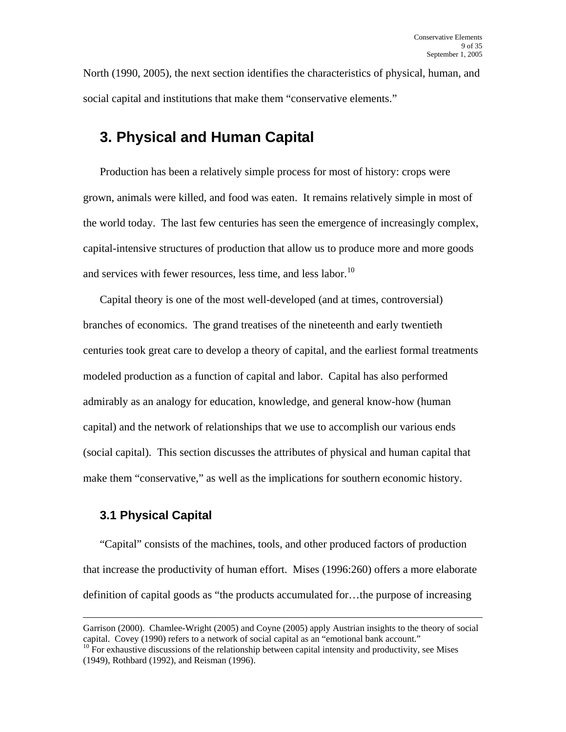North (1990, 2005), the next section identifies the characteristics of physical, human, and social capital and institutions that make them "conservative elements."

# **3. Physical and Human Capital**

Production has been a relatively simple process for most of history: crops were grown, animals were killed, and food was eaten. It remains relatively simple in most of the world today. The last few centuries has seen the emergence of increasingly complex, capital-intensive structures of production that allow us to produce more and more goods and services with fewer resources, less time, and less labor.<sup>[10](#page-8-0)</sup>

Capital theory is one of the most well-developed (and at times, controversial) branches of economics. The grand treatises of the nineteenth and early twentieth centuries took great care to develop a theory of capital, and the earliest formal treatments modeled production as a function of capital and labor. Capital has also performed admirably as an analogy for education, knowledge, and general know-how (human capital) and the network of relationships that we use to accomplish our various ends (social capital). This section discusses the attributes of physical and human capital that make them "conservative," as well as the implications for southern economic history.

### **3.1 Physical Capital**

"Capital" consists of the machines, tools, and other produced factors of production that increase the productivity of human effort. Mises (1996:260) offers a more elaborate definition of capital goods as "the products accumulated for…the purpose of increasing

Garrison (2000). Chamlee-Wright (2005) and Coyne (2005) apply Austrian insights to the theory of social capital. Covey (1990) refers to a network of social capital as an "emotional bank account."<br><sup>10</sup> For exhaustive discussions of the relationship between capital intensity and productivity, see Mises

<span id="page-8-0"></span><sup>(1949),</sup> Rothbard (1992), and Reisman (1996).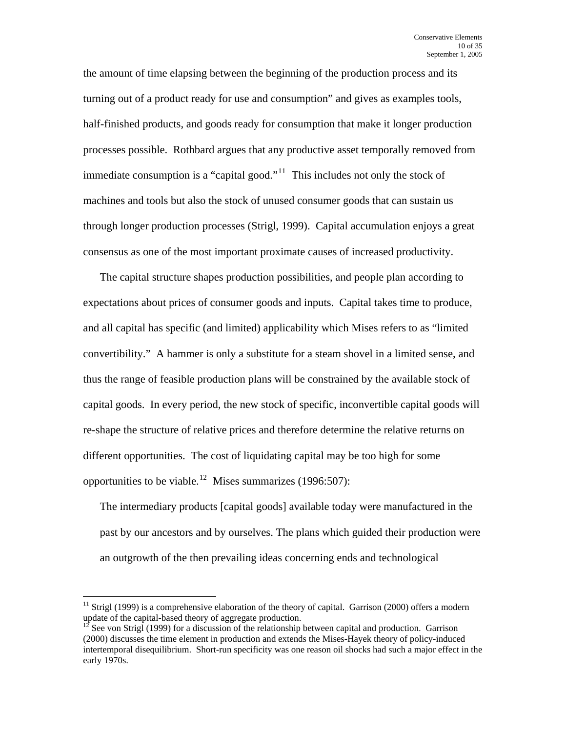the amount of time elapsing between the beginning of the production process and its turning out of a product ready for use and consumption" and gives as examples tools, half-finished products, and goods ready for consumption that make it longer production processes possible. Rothbard argues that any productive asset temporally removed from immediate consumption is a "capital good."<sup>[11](#page-9-0)</sup> This includes not only the stock of machines and tools but also the stock of unused consumer goods that can sustain us through longer production processes (Strigl, 1999). Capital accumulation enjoys a great consensus as one of the most important proximate causes of increased productivity.

The capital structure shapes production possibilities, and people plan according to expectations about prices of consumer goods and inputs. Capital takes time to produce, and all capital has specific (and limited) applicability which Mises refers to as "limited convertibility." A hammer is only a substitute for a steam shovel in a limited sense, and thus the range of feasible production plans will be constrained by the available stock of capital goods. In every period, the new stock of specific, inconvertible capital goods will re-shape the structure of relative prices and therefore determine the relative returns on different opportunities. The cost of liquidating capital may be too high for some opportunities to be viable.<sup>[12](#page-9-1)</sup> Mises summarizes (1996:507):

The intermediary products [capital goods] available today were manufactured in the past by our ancestors and by ourselves. The plans which guided their production were an outgrowth of the then prevailing ideas concerning ends and technological

<span id="page-9-0"></span><sup>&</sup>lt;sup>11</sup> Strigl (1999) is a comprehensive elaboration of the theory of capital. Garrison (2000) offers a modern update of the capital-based theory of aggregate production.

<span id="page-9-1"></span>See von Strigl (1999) for a discussion of the relationship between capital and production. Garrison (2000) discusses the time element in production and extends the Mises-Hayek theory of policy-induced intertemporal disequilibrium. Short-run specificity was one reason oil shocks had such a major effect in the early 1970s.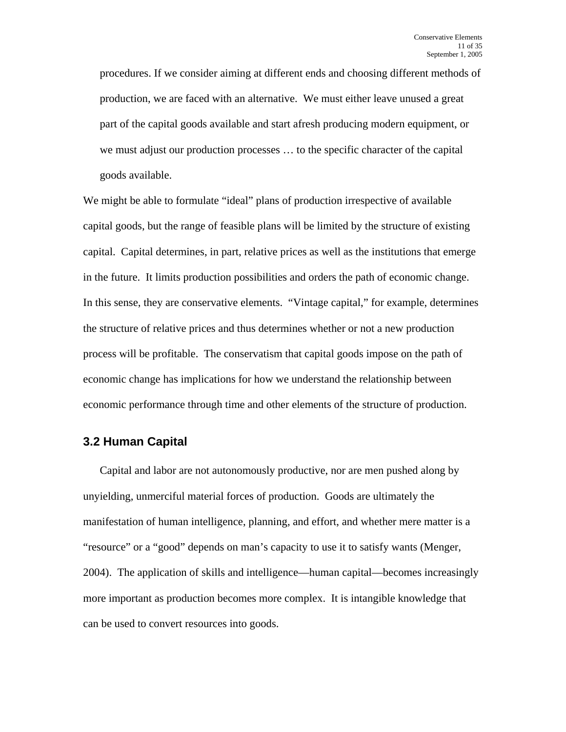procedures. If we consider aiming at different ends and choosing different methods of production, we are faced with an alternative. We must either leave unused a great part of the capital goods available and start afresh producing modern equipment, or we must adjust our production processes … to the specific character of the capital goods available.

We might be able to formulate "ideal" plans of production irrespective of available capital goods, but the range of feasible plans will be limited by the structure of existing capital. Capital determines, in part, relative prices as well as the institutions that emerge in the future. It limits production possibilities and orders the path of economic change. In this sense, they are conservative elements. "Vintage capital," for example, determines the structure of relative prices and thus determines whether or not a new production process will be profitable. The conservatism that capital goods impose on the path of economic change has implications for how we understand the relationship between economic performance through time and other elements of the structure of production.

### **3.2 Human Capital**

Capital and labor are not autonomously productive, nor are men pushed along by unyielding, unmerciful material forces of production. Goods are ultimately the manifestation of human intelligence, planning, and effort, and whether mere matter is a "resource" or a "good" depends on man's capacity to use it to satisfy wants (Menger, 2004). The application of skills and intelligence—human capital—becomes increasingly more important as production becomes more complex. It is intangible knowledge that can be used to convert resources into goods.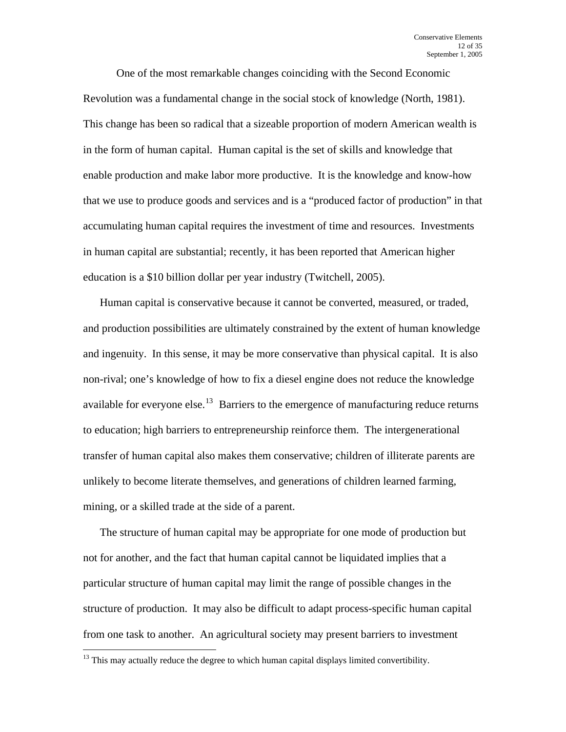One of the most remarkable changes coinciding with the Second Economic Revolution was a fundamental change in the social stock of knowledge (North, 1981). This change has been so radical that a sizeable proportion of modern American wealth is in the form of human capital. Human capital is the set of skills and knowledge that enable production and make labor more productive. It is the knowledge and know-how that we use to produce goods and services and is a "produced factor of production" in that accumulating human capital requires the investment of time and resources. Investments in human capital are substantial; recently, it has been reported that American higher education is a \$10 billion dollar per year industry (Twitchell, 2005).

Human capital is conservative because it cannot be converted, measured, or traded, and production possibilities are ultimately constrained by the extent of human knowledge and ingenuity. In this sense, it may be more conservative than physical capital. It is also non-rival; one's knowledge of how to fix a diesel engine does not reduce the knowledge available for everyone else.<sup>[13](#page-11-0)</sup> Barriers to the emergence of manufacturing reduce returns to education; high barriers to entrepreneurship reinforce them. The intergenerational transfer of human capital also makes them conservative; children of illiterate parents are unlikely to become literate themselves, and generations of children learned farming, mining, or a skilled trade at the side of a parent.

The structure of human capital may be appropriate for one mode of production but not for another, and the fact that human capital cannot be liquidated implies that a particular structure of human capital may limit the range of possible changes in the structure of production. It may also be difficult to adapt process-specific human capital from one task to another. An agricultural society may present barriers to investment

<span id="page-11-0"></span> $13$  This may actually reduce the degree to which human capital displays limited convertibility.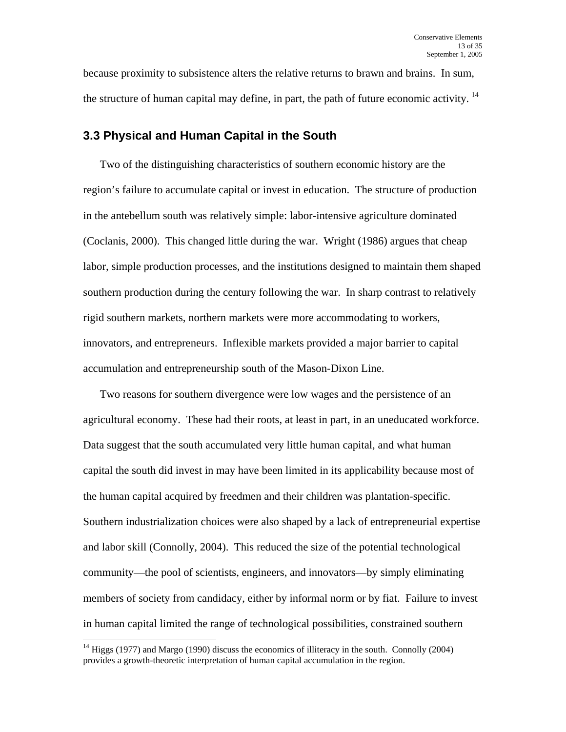because proximity to subsistence alters the relative returns to brawn and brains. In sum, the structure of human capital may define, in part, the path of future economic activity.<sup>[14](#page-12-0)</sup>

### **3.3 Physical and Human Capital in the South**

Two of the distinguishing characteristics of southern economic history are the region's failure to accumulate capital or invest in education. The structure of production in the antebellum south was relatively simple: labor-intensive agriculture dominated (Coclanis, 2000). This changed little during the war. Wright (1986) argues that cheap labor, simple production processes, and the institutions designed to maintain them shaped southern production during the century following the war. In sharp contrast to relatively rigid southern markets, northern markets were more accommodating to workers, innovators, and entrepreneurs. Inflexible markets provided a major barrier to capital accumulation and entrepreneurship south of the Mason-Dixon Line.

Two reasons for southern divergence were low wages and the persistence of an agricultural economy. These had their roots, at least in part, in an uneducated workforce. Data suggest that the south accumulated very little human capital, and what human capital the south did invest in may have been limited in its applicability because most of the human capital acquired by freedmen and their children was plantation-specific. Southern industrialization choices were also shaped by a lack of entrepreneurial expertise and labor skill (Connolly, 2004). This reduced the size of the potential technological community—the pool of scientists, engineers, and innovators—by simply eliminating members of society from candidacy, either by informal norm or by fiat. Failure to invest in human capital limited the range of technological possibilities, constrained southern

<span id="page-12-0"></span> $14$  Higgs (1977) and Margo (1990) discuss the economics of illiteracy in the south. Connolly (2004) provides a growth-theoretic interpretation of human capital accumulation in the region.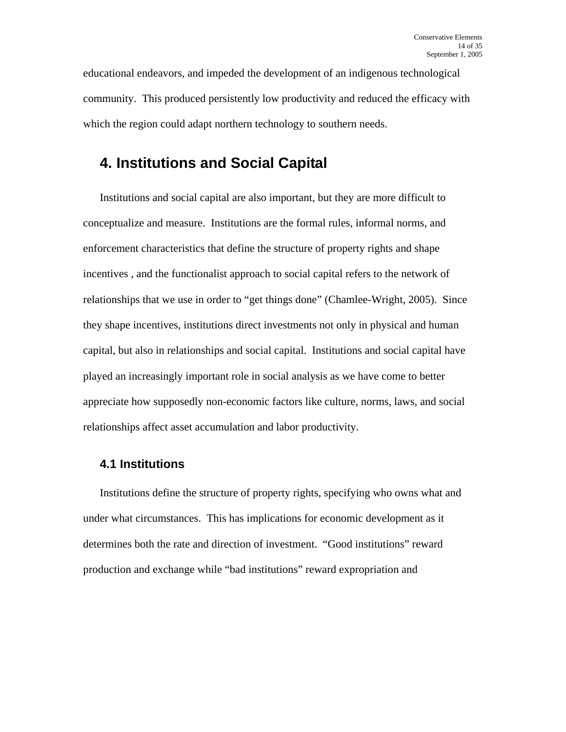educational endeavors, and impeded the development of an indigenous technological community. This produced persistently low productivity and reduced the efficacy with which the region could adapt northern technology to southern needs.

# **4. Institutions and Social Capital**

Institutions and social capital are also important, but they are more difficult to conceptualize and measure. Institutions are the formal rules, informal norms, and enforcement characteristics that define the structure of property rights and shape incentives , and the functionalist approach to social capital refers to the network of relationships that we use in order to "get things done" (Chamlee-Wright, 2005). Since they shape incentives, institutions direct investments not only in physical and human capital, but also in relationships and social capital. Institutions and social capital have played an increasingly important role in social analysis as we have come to better appreciate how supposedly non-economic factors like culture, norms, laws, and social relationships affect asset accumulation and labor productivity.

### **4.1 Institutions**

Institutions define the structure of property rights, specifying who owns what and under what circumstances. This has implications for economic development as it determines both the rate and direction of investment. "Good institutions" reward production and exchange while "bad institutions" reward expropriation and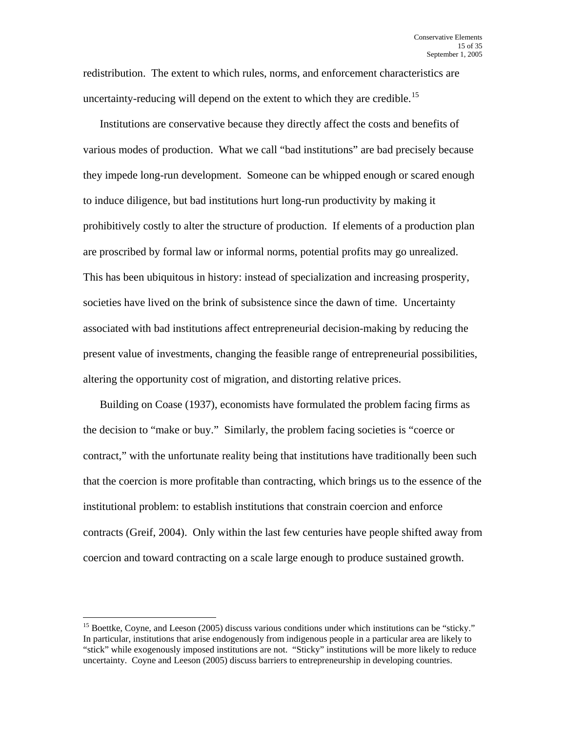redistribution. The extent to which rules, norms, and enforcement characteristics are uncertainty-reducing will depend on the extent to which they are credible.<sup>[15](#page-14-0)</sup>

Institutions are conservative because they directly affect the costs and benefits of various modes of production. What we call "bad institutions" are bad precisely because they impede long-run development. Someone can be whipped enough or scared enough to induce diligence, but bad institutions hurt long-run productivity by making it prohibitively costly to alter the structure of production. If elements of a production plan are proscribed by formal law or informal norms, potential profits may go unrealized. This has been ubiquitous in history: instead of specialization and increasing prosperity, societies have lived on the brink of subsistence since the dawn of time. Uncertainty associated with bad institutions affect entrepreneurial decision-making by reducing the present value of investments, changing the feasible range of entrepreneurial possibilities, altering the opportunity cost of migration, and distorting relative prices.

Building on Coase (1937), economists have formulated the problem facing firms as the decision to "make or buy." Similarly, the problem facing societies is "coerce or contract," with the unfortunate reality being that institutions have traditionally been such that the coercion is more profitable than contracting, which brings us to the essence of the institutional problem: to establish institutions that constrain coercion and enforce contracts (Greif, 2004). Only within the last few centuries have people shifted away from coercion and toward contracting on a scale large enough to produce sustained growth.

<span id="page-14-0"></span><sup>&</sup>lt;sup>15</sup> Boettke, Coyne, and Leeson (2005) discuss various conditions under which institutions can be "sticky." In particular, institutions that arise endogenously from indigenous people in a particular area are likely to "stick" while exogenously imposed institutions are not. "Sticky" institutions will be more likely to reduce uncertainty. Coyne and Leeson (2005) discuss barriers to entrepreneurship in developing countries.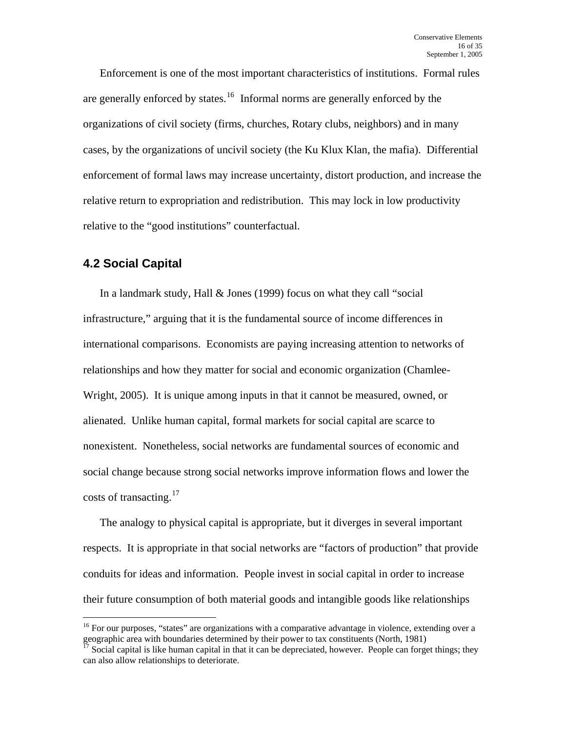Enforcement is one of the most important characteristics of institutions. Formal rules are generally enforced by states.<sup>[16](#page-15-0)</sup> Informal norms are generally enforced by the organizations of civil society (firms, churches, Rotary clubs, neighbors) and in many cases, by the organizations of uncivil society (the Ku Klux Klan, the mafia). Differential enforcement of formal laws may increase uncertainty, distort production, and increase the relative return to expropriation and redistribution. This may lock in low productivity relative to the "good institutions" counterfactual.

### **4.2 Social Capital**

 $\overline{a}$ 

In a landmark study, Hall & Jones (1999) focus on what they call "social infrastructure," arguing that it is the fundamental source of income differences in international comparisons. Economists are paying increasing attention to networks of relationships and how they matter for social and economic organization (Chamlee-Wright, 2005). It is unique among inputs in that it cannot be measured, owned, or alienated. Unlike human capital, formal markets for social capital are scarce to nonexistent. Nonetheless, social networks are fundamental sources of economic and social change because strong social networks improve information flows and lower the costs of transacting. $17$ 

The analogy to physical capital is appropriate, but it diverges in several important respects. It is appropriate in that social networks are "factors of production" that provide conduits for ideas and information. People invest in social capital in order to increase their future consumption of both material goods and intangible goods like relationships

<span id="page-15-0"></span> $16$  For our purposes, "states" are organizations with a comparative advantage in violence, extending over a geographic area with boundaries determined by their power to tax constituents (North, 1981)<br><sup>17</sup> Social capital is like human capital in that it can be depreciated, however. People can forget things; they

<span id="page-15-1"></span>can also allow relationships to deteriorate.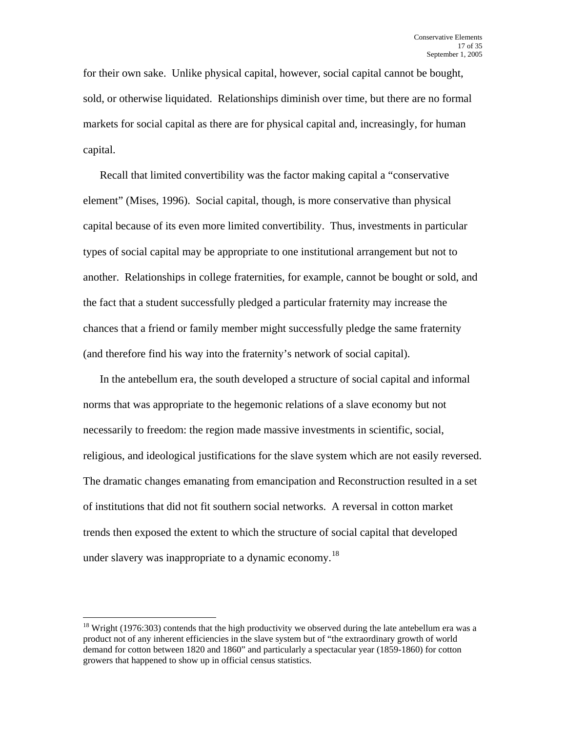for their own sake. Unlike physical capital, however, social capital cannot be bought, sold, or otherwise liquidated. Relationships diminish over time, but there are no formal markets for social capital as there are for physical capital and, increasingly, for human capital.

Recall that limited convertibility was the factor making capital a "conservative element" (Mises, 1996). Social capital, though, is more conservative than physical capital because of its even more limited convertibility. Thus, investments in particular types of social capital may be appropriate to one institutional arrangement but not to another. Relationships in college fraternities, for example, cannot be bought or sold, and the fact that a student successfully pledged a particular fraternity may increase the chances that a friend or family member might successfully pledge the same fraternity (and therefore find his way into the fraternity's network of social capital).

In the antebellum era, the south developed a structure of social capital and informal norms that was appropriate to the hegemonic relations of a slave economy but not necessarily to freedom: the region made massive investments in scientific, social, religious, and ideological justifications for the slave system which are not easily reversed. The dramatic changes emanating from emancipation and Reconstruction resulted in a set of institutions that did not fit southern social networks. A reversal in cotton market trends then exposed the extent to which the structure of social capital that developed under slavery was inappropriate to a dynamic economy.<sup>[18](#page-16-0)</sup>

<span id="page-16-0"></span> $18$  Wright (1976:303) contends that the high productivity we observed during the late antebellum era was a product not of any inherent efficiencies in the slave system but of "the extraordinary growth of world demand for cotton between 1820 and 1860" and particularly a spectacular year (1859-1860) for cotton growers that happened to show up in official census statistics.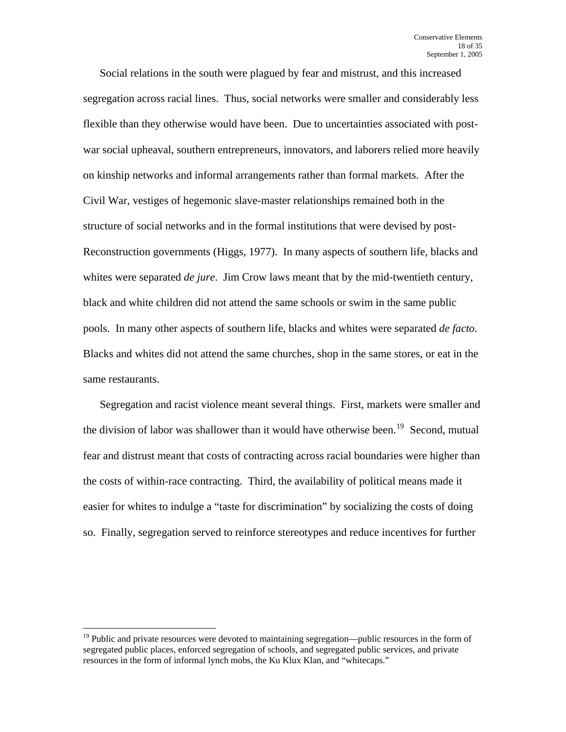Social relations in the south were plagued by fear and mistrust, and this increased segregation across racial lines. Thus, social networks were smaller and considerably less flexible than they otherwise would have been. Due to uncertainties associated with postwar social upheaval, southern entrepreneurs, innovators, and laborers relied more heavily on kinship networks and informal arrangements rather than formal markets. After the Civil War, vestiges of hegemonic slave-master relationships remained both in the structure of social networks and in the formal institutions that were devised by post-Reconstruction governments (Higgs, 1977). In many aspects of southern life, blacks and whites were separated *de jure*. Jim Crow laws meant that by the mid-twentieth century, black and white children did not attend the same schools or swim in the same public pools. In many other aspects of southern life, blacks and whites were separated *de facto*. Blacks and whites did not attend the same churches, shop in the same stores, or eat in the same restaurants.

Segregation and racist violence meant several things. First, markets were smaller and the division of labor was shallower than it would have otherwise been.<sup>[19](#page-17-0)</sup> Second, mutual fear and distrust meant that costs of contracting across racial boundaries were higher than the costs of within-race contracting. Third, the availability of political means made it easier for whites to indulge a "taste for discrimination" by socializing the costs of doing so. Finally, segregation served to reinforce stereotypes and reduce incentives for further

<span id="page-17-0"></span><sup>&</sup>lt;sup>19</sup> Public and private resources were devoted to maintaining segregation—public resources in the form of segregated public places, enforced segregation of schools, and segregated public services, and private resources in the form of informal lynch mobs, the Ku Klux Klan, and "whitecaps."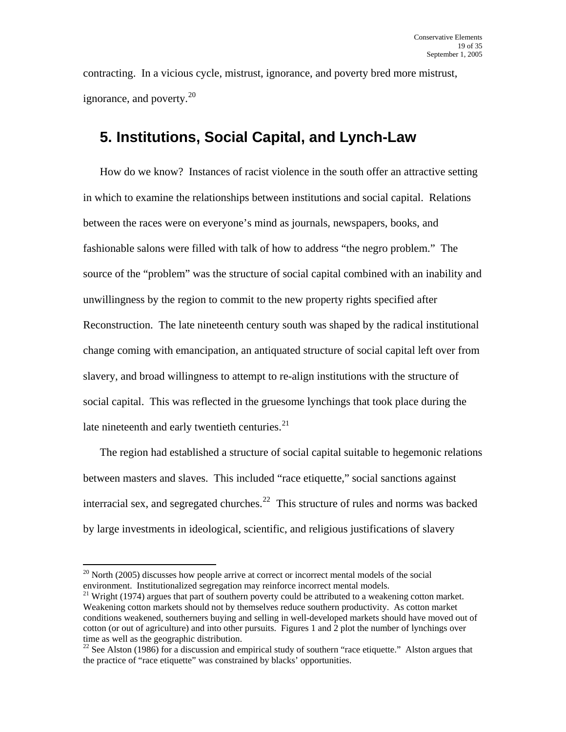contracting. In a vicious cycle, mistrust, ignorance, and poverty bred more mistrust, ignorance, and poverty.<sup>[20](#page-18-0)</sup>

# **5. Institutions, Social Capital, and Lynch-Law**

How do we know? Instances of racist violence in the south offer an attractive setting in which to examine the relationships between institutions and social capital. Relations between the races were on everyone's mind as journals, newspapers, books, and fashionable salons were filled with talk of how to address "the negro problem." The source of the "problem" was the structure of social capital combined with an inability and unwillingness by the region to commit to the new property rights specified after Reconstruction. The late nineteenth century south was shaped by the radical institutional change coming with emancipation, an antiquated structure of social capital left over from slavery, and broad willingness to attempt to re-align institutions with the structure of social capital. This was reflected in the gruesome lynchings that took place during the late nineteenth and early twentieth centuries.<sup>[21](#page-18-1)</sup>

The region had established a structure of social capital suitable to hegemonic relations between masters and slaves. This included "race etiquette," social sanctions against interracial sex, and segregated churches.<sup>[22](#page-18-2)</sup> This structure of rules and norms was backed by large investments in ideological, scientific, and religious justifications of slavery

<span id="page-18-0"></span> $20$  North (2005) discusses how people arrive at correct or incorrect mental models of the social environment. Institutionalized segregation may reinforce incorrect mental models.

<span id="page-18-1"></span> $21$  Wright (1974) argues that part of southern poverty could be attributed to a weakening cotton market. Weakening cotton markets should not by themselves reduce southern productivity. As cotton market conditions weakened, southerners buying and selling in well-developed markets should have moved out of cotton (or out of agriculture) and into other pursuits. Figures 1 and 2 plot the number of lynchings over time as well as the geographic distribution.

<span id="page-18-2"></span><sup>&</sup>lt;sup>22</sup> See Alston (1986) for a discussion and empirical study of southern "race etiquette." Alston argues that the practice of "race etiquette" was constrained by blacks' opportunities.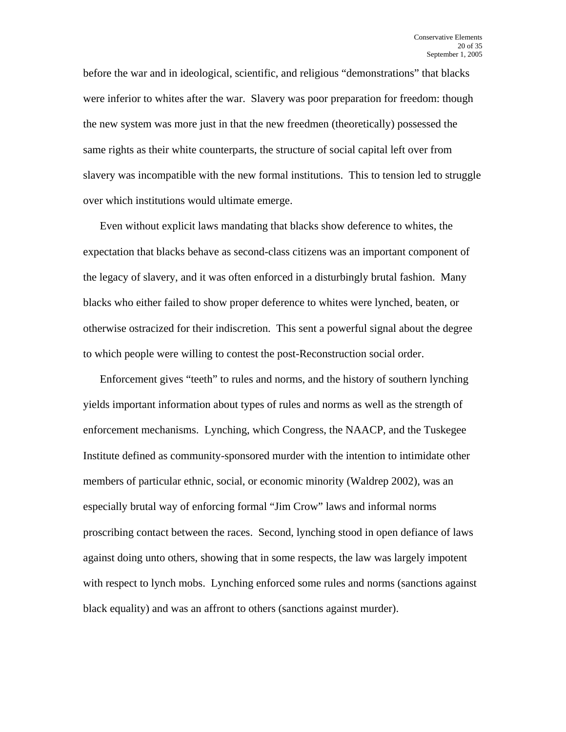before the war and in ideological, scientific, and religious "demonstrations" that blacks were inferior to whites after the war. Slavery was poor preparation for freedom: though the new system was more just in that the new freedmen (theoretically) possessed the same rights as their white counterparts, the structure of social capital left over from slavery was incompatible with the new formal institutions. This to tension led to struggle over which institutions would ultimate emerge.

Even without explicit laws mandating that blacks show deference to whites, the expectation that blacks behave as second-class citizens was an important component of the legacy of slavery, and it was often enforced in a disturbingly brutal fashion. Many blacks who either failed to show proper deference to whites were lynched, beaten, or otherwise ostracized for their indiscretion. This sent a powerful signal about the degree to which people were willing to contest the post-Reconstruction social order.

Enforcement gives "teeth" to rules and norms, and the history of southern lynching yields important information about types of rules and norms as well as the strength of enforcement mechanisms. Lynching, which Congress, the NAACP, and the Tuskegee Institute defined as community-sponsored murder with the intention to intimidate other members of particular ethnic, social, or economic minority (Waldrep 2002), was an especially brutal way of enforcing formal "Jim Crow" laws and informal norms proscribing contact between the races. Second, lynching stood in open defiance of laws against doing unto others, showing that in some respects, the law was largely impotent with respect to lynch mobs. Lynching enforced some rules and norms (sanctions against black equality) and was an affront to others (sanctions against murder).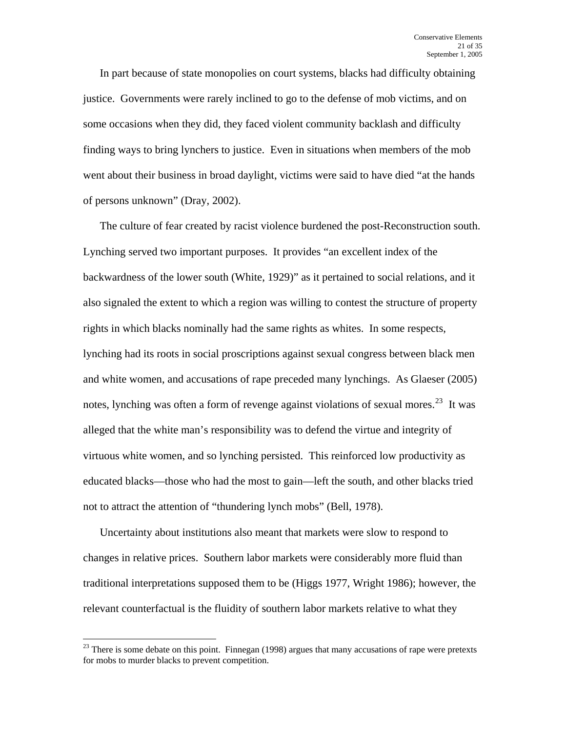In part because of state monopolies on court systems, blacks had difficulty obtaining justice. Governments were rarely inclined to go to the defense of mob victims, and on some occasions when they did, they faced violent community backlash and difficulty finding ways to bring lynchers to justice. Even in situations when members of the mob went about their business in broad daylight, victims were said to have died "at the hands of persons unknown" (Dray, 2002).

The culture of fear created by racist violence burdened the post-Reconstruction south. Lynching served two important purposes. It provides "an excellent index of the backwardness of the lower south (White, 1929)" as it pertained to social relations, and it also signaled the extent to which a region was willing to contest the structure of property rights in which blacks nominally had the same rights as whites. In some respects, lynching had its roots in social proscriptions against sexual congress between black men and white women, and accusations of rape preceded many lynchings. As Glaeser (2005) notes, lynching was often a form of revenge against violations of sexual mores.<sup>[23](#page-20-0)</sup> It was alleged that the white man's responsibility was to defend the virtue and integrity of virtuous white women, and so lynching persisted. This reinforced low productivity as educated blacks—those who had the most to gain—left the south, and other blacks tried not to attract the attention of "thundering lynch mobs" (Bell, 1978).

Uncertainty about institutions also meant that markets were slow to respond to changes in relative prices. Southern labor markets were considerably more fluid than traditional interpretations supposed them to be (Higgs 1977, Wright 1986); however, the relevant counterfactual is the fluidity of southern labor markets relative to what they

<span id="page-20-0"></span> $23$  There is some debate on this point. Finnegan (1998) argues that many accusations of rape were pretexts for mobs to murder blacks to prevent competition.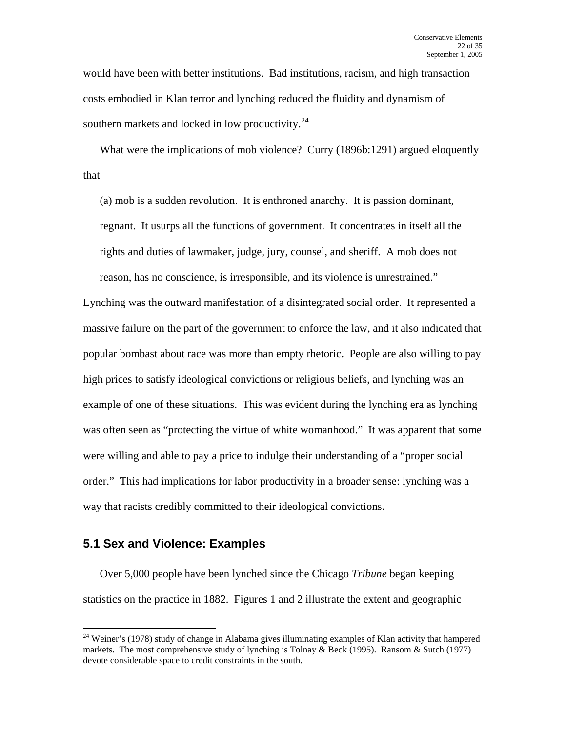would have been with better institutions. Bad institutions, racism, and high transaction costs embodied in Klan terror and lynching reduced the fluidity and dynamism of southern markets and locked in low productivity. $24$ 

What were the implications of mob violence? Curry (1896b:1291) argued eloquently that

(a) mob is a sudden revolution. It is enthroned anarchy. It is passion dominant, regnant. It usurps all the functions of government. It concentrates in itself all the rights and duties of lawmaker, judge, jury, counsel, and sheriff. A mob does not reason, has no conscience, is irresponsible, and its violence is unrestrained."

Lynching was the outward manifestation of a disintegrated social order. It represented a massive failure on the part of the government to enforce the law, and it also indicated that popular bombast about race was more than empty rhetoric. People are also willing to pay high prices to satisfy ideological convictions or religious beliefs, and lynching was an example of one of these situations. This was evident during the lynching era as lynching was often seen as "protecting the virtue of white womanhood." It was apparent that some were willing and able to pay a price to indulge their understanding of a "proper social order." This had implications for labor productivity in a broader sense: lynching was a way that racists credibly committed to their ideological convictions.

### **5.1 Sex and Violence: Examples**

 $\overline{a}$ 

Over 5,000 people have been lynched since the Chicago *Tribune* began keeping statistics on the practice in 1882. Figures 1 and 2 illustrate the extent and geographic

<span id="page-21-0"></span><sup>&</sup>lt;sup>24</sup> Weiner's (1978) study of change in Alabama gives illuminating examples of Klan activity that hampered markets. The most comprehensive study of lynching is Tolnay & Beck (1995). Ransom & Sutch (1977) devote considerable space to credit constraints in the south.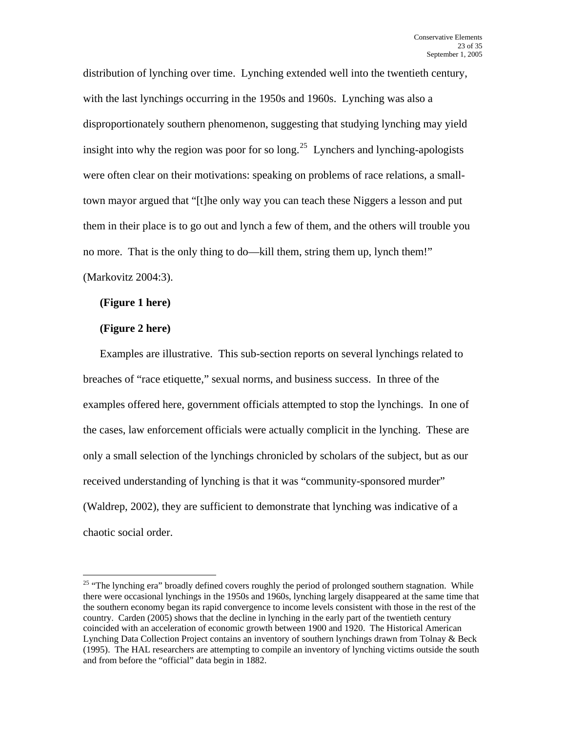distribution of lynching over time. Lynching extended well into the twentieth century, with the last lynchings occurring in the 1950s and 1960s. Lynching was also a disproportionately southern phenomenon, suggesting that studying lynching may yield insight into why the region was poor for so  $\log^{25}$  $\log^{25}$  $\log^{25}$  Lynchers and lynching-apologists were often clear on their motivations: speaking on problems of race relations, a smalltown mayor argued that "[t]he only way you can teach these Niggers a lesson and put them in their place is to go out and lynch a few of them, and the others will trouble you no more. That is the only thing to do—kill them, string them up, lynch them!" (Markovitz 2004:3).

#### **(Figure 1 here)**

### **(Figure 2 here)**

 $\overline{a}$ 

Examples are illustrative. This sub-section reports on several lynchings related to breaches of "race etiquette," sexual norms, and business success. In three of the examples offered here, government officials attempted to stop the lynchings. In one of the cases, law enforcement officials were actually complicit in the lynching. These are only a small selection of the lynchings chronicled by scholars of the subject, but as our received understanding of lynching is that it was "community-sponsored murder" (Waldrep, 2002), they are sufficient to demonstrate that lynching was indicative of a chaotic social order.

<span id="page-22-0"></span><sup>&</sup>lt;sup>25</sup> "The lynching era" broadly defined covers roughly the period of prolonged southern stagnation. While there were occasional lynchings in the 1950s and 1960s, lynching largely disappeared at the same time that the southern economy began its rapid convergence to income levels consistent with those in the rest of the country. Carden (2005) shows that the decline in lynching in the early part of the twentieth century coincided with an acceleration of economic growth between 1900 and 1920. The Historical American Lynching Data Collection Project contains an inventory of southern lynchings drawn from Tolnay & Beck (1995). The HAL researchers are attempting to compile an inventory of lynching victims outside the south and from before the "official" data begin in 1882.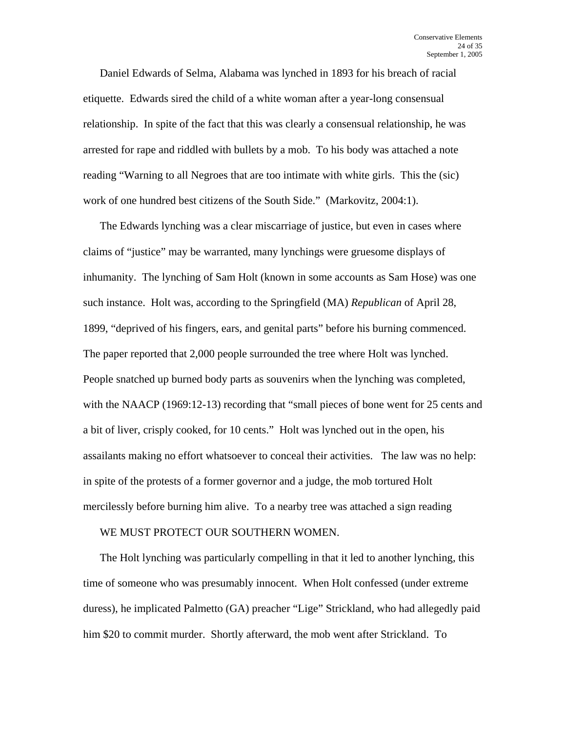Daniel Edwards of Selma, Alabama was lynched in 1893 for his breach of racial etiquette. Edwards sired the child of a white woman after a year-long consensual relationship. In spite of the fact that this was clearly a consensual relationship, he was arrested for rape and riddled with bullets by a mob. To his body was attached a note reading "Warning to all Negroes that are too intimate with white girls. This the (sic) work of one hundred best citizens of the South Side." (Markovitz, 2004:1).

The Edwards lynching was a clear miscarriage of justice, but even in cases where claims of "justice" may be warranted, many lynchings were gruesome displays of inhumanity. The lynching of Sam Holt (known in some accounts as Sam Hose) was one such instance. Holt was, according to the Springfield (MA) *Republican* of April 28, 1899, "deprived of his fingers, ears, and genital parts" before his burning commenced. The paper reported that 2,000 people surrounded the tree where Holt was lynched. People snatched up burned body parts as souvenirs when the lynching was completed, with the NAACP (1969:12-13) recording that "small pieces of bone went for 25 cents and a bit of liver, crisply cooked, for 10 cents." Holt was lynched out in the open, his assailants making no effort whatsoever to conceal their activities. The law was no help: in spite of the protests of a former governor and a judge, the mob tortured Holt mercilessly before burning him alive. To a nearby tree was attached a sign reading

#### WE MUST PROTECT OUR SOUTHERN WOMEN.

The Holt lynching was particularly compelling in that it led to another lynching, this time of someone who was presumably innocent. When Holt confessed (under extreme duress), he implicated Palmetto (GA) preacher "Lige" Strickland, who had allegedly paid him \$20 to commit murder. Shortly afterward, the mob went after Strickland. To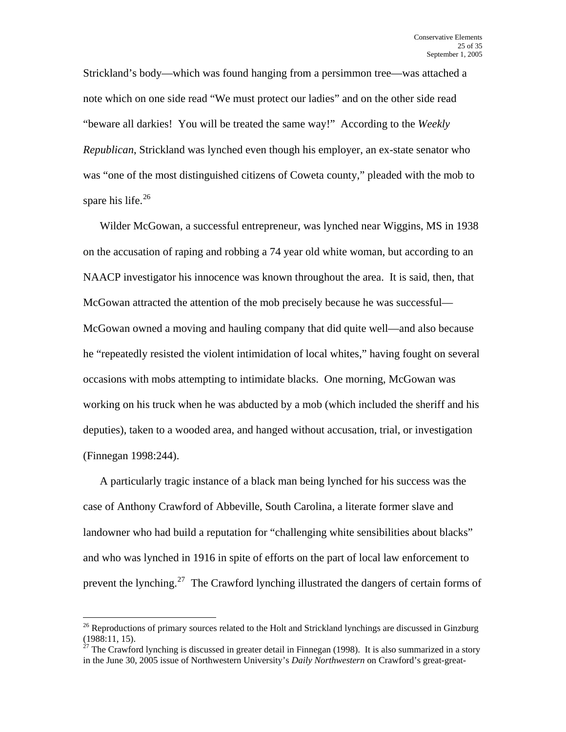Strickland's body—which was found hanging from a persimmon tree—was attached a note which on one side read "We must protect our ladies" and on the other side read "beware all darkies! You will be treated the same way!" According to the *Weekly Republican*, Strickland was lynched even though his employer, an ex-state senator who was "one of the most distinguished citizens of Coweta county," pleaded with the mob to spare his life. $26$ 

Wilder McGowan, a successful entrepreneur, was lynched near Wiggins, MS in 1938 on the accusation of raping and robbing a 74 year old white woman, but according to an NAACP investigator his innocence was known throughout the area. It is said, then, that McGowan attracted the attention of the mob precisely because he was successful— McGowan owned a moving and hauling company that did quite well—and also because he "repeatedly resisted the violent intimidation of local whites," having fought on several occasions with mobs attempting to intimidate blacks. One morning, McGowan was working on his truck when he was abducted by a mob (which included the sheriff and his deputies), taken to a wooded area, and hanged without accusation, trial, or investigation (Finnegan 1998:244).

A particularly tragic instance of a black man being lynched for his success was the case of Anthony Crawford of Abbeville, South Carolina, a literate former slave and landowner who had build a reputation for "challenging white sensibilities about blacks" and who was lynched in 1916 in spite of efforts on the part of local law enforcement to prevent the lynching.<sup>[27](#page-24-1)</sup> The Crawford lynching illustrated the dangers of certain forms of

<span id="page-24-0"></span> $26$  Reproductions of primary sources related to the Holt and Strickland lynchings are discussed in Ginzburg (1988:11, 15).

<span id="page-24-1"></span> $27$  The Crawford lynching is discussed in greater detail in Finnegan (1998). It is also summarized in a story in the June 30, 2005 issue of Northwestern University's *Daily Northwestern* on Crawford's great-great-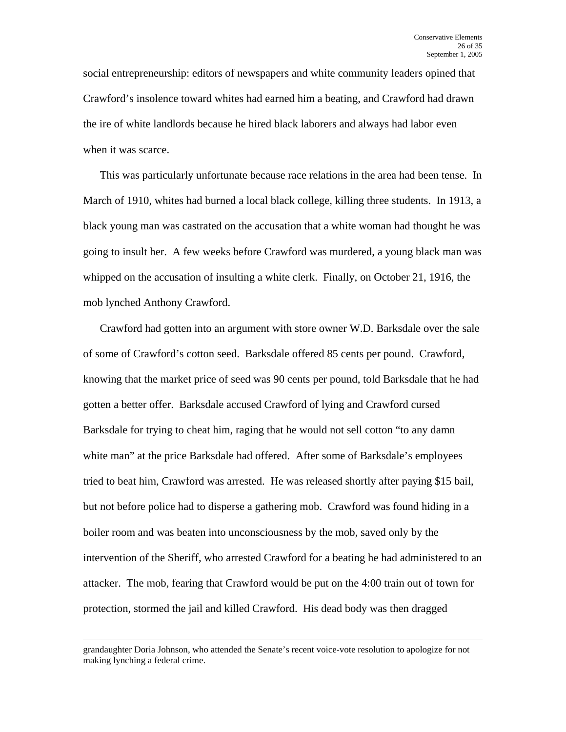social entrepreneurship: editors of newspapers and white community leaders opined that Crawford's insolence toward whites had earned him a beating, and Crawford had drawn the ire of white landlords because he hired black laborers and always had labor even when it was scarce.

This was particularly unfortunate because race relations in the area had been tense. In March of 1910, whites had burned a local black college, killing three students. In 1913, a black young man was castrated on the accusation that a white woman had thought he was going to insult her. A few weeks before Crawford was murdered, a young black man was whipped on the accusation of insulting a white clerk. Finally, on October 21, 1916, the mob lynched Anthony Crawford.

Crawford had gotten into an argument with store owner W.D. Barksdale over the sale of some of Crawford's cotton seed. Barksdale offered 85 cents per pound. Crawford, knowing that the market price of seed was 90 cents per pound, told Barksdale that he had gotten a better offer. Barksdale accused Crawford of lying and Crawford cursed Barksdale for trying to cheat him, raging that he would not sell cotton "to any damn white man" at the price Barksdale had offered. After some of Barksdale's employees tried to beat him, Crawford was arrested. He was released shortly after paying \$15 bail, but not before police had to disperse a gathering mob. Crawford was found hiding in a boiler room and was beaten into unconsciousness by the mob, saved only by the intervention of the Sheriff, who arrested Crawford for a beating he had administered to an attacker. The mob, fearing that Crawford would be put on the 4:00 train out of town for protection, stormed the jail and killed Crawford. His dead body was then dragged

grandaughter Doria Johnson, who attended the Senate's recent voice-vote resolution to apologize for not making lynching a federal crime.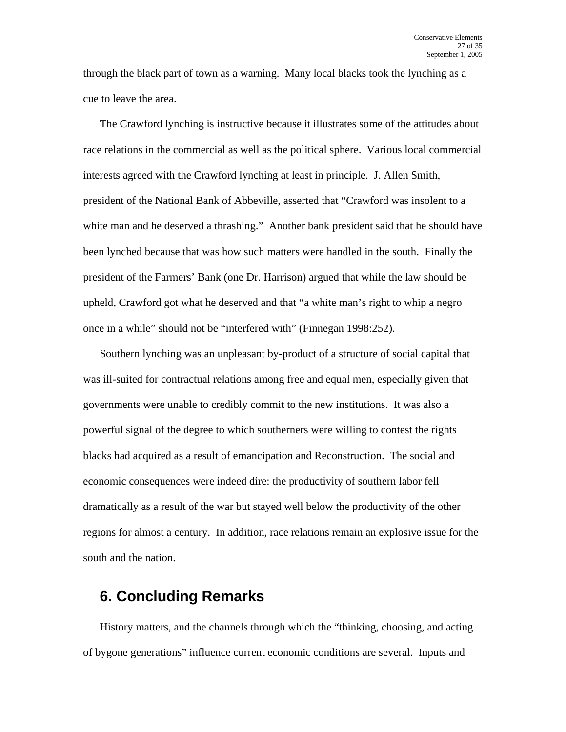through the black part of town as a warning. Many local blacks took the lynching as a cue to leave the area.

The Crawford lynching is instructive because it illustrates some of the attitudes about race relations in the commercial as well as the political sphere. Various local commercial interests agreed with the Crawford lynching at least in principle. J. Allen Smith, president of the National Bank of Abbeville, asserted that "Crawford was insolent to a white man and he deserved a thrashing." Another bank president said that he should have been lynched because that was how such matters were handled in the south. Finally the president of the Farmers' Bank (one Dr. Harrison) argued that while the law should be upheld, Crawford got what he deserved and that "a white man's right to whip a negro once in a while" should not be "interfered with" (Finnegan 1998:252).

Southern lynching was an unpleasant by-product of a structure of social capital that was ill-suited for contractual relations among free and equal men, especially given that governments were unable to credibly commit to the new institutions. It was also a powerful signal of the degree to which southerners were willing to contest the rights blacks had acquired as a result of emancipation and Reconstruction. The social and economic consequences were indeed dire: the productivity of southern labor fell dramatically as a result of the war but stayed well below the productivity of the other regions for almost a century. In addition, race relations remain an explosive issue for the south and the nation.

## **6. Concluding Remarks**

History matters, and the channels through which the "thinking, choosing, and acting of bygone generations" influence current economic conditions are several. Inputs and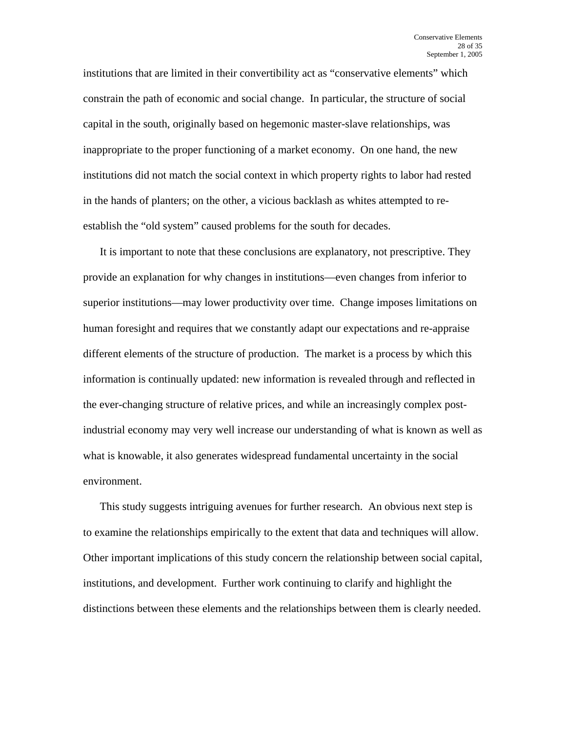institutions that are limited in their convertibility act as "conservative elements" which constrain the path of economic and social change. In particular, the structure of social capital in the south, originally based on hegemonic master-slave relationships, was inappropriate to the proper functioning of a market economy. On one hand, the new institutions did not match the social context in which property rights to labor had rested in the hands of planters; on the other, a vicious backlash as whites attempted to reestablish the "old system" caused problems for the south for decades.

It is important to note that these conclusions are explanatory, not prescriptive. They provide an explanation for why changes in institutions—even changes from inferior to superior institutions—may lower productivity over time. Change imposes limitations on human foresight and requires that we constantly adapt our expectations and re-appraise different elements of the structure of production. The market is a process by which this information is continually updated: new information is revealed through and reflected in the ever-changing structure of relative prices, and while an increasingly complex postindustrial economy may very well increase our understanding of what is known as well as what is knowable, it also generates widespread fundamental uncertainty in the social environment.

This study suggests intriguing avenues for further research. An obvious next step is to examine the relationships empirically to the extent that data and techniques will allow. Other important implications of this study concern the relationship between social capital, institutions, and development. Further work continuing to clarify and highlight the distinctions between these elements and the relationships between them is clearly needed.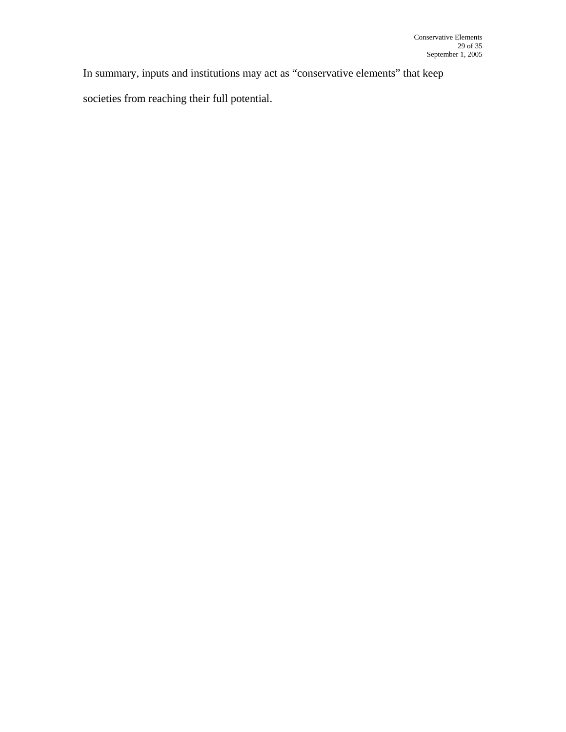In summary, inputs and institutions may act as "conservative elements" that keep

societies from reaching their full potential.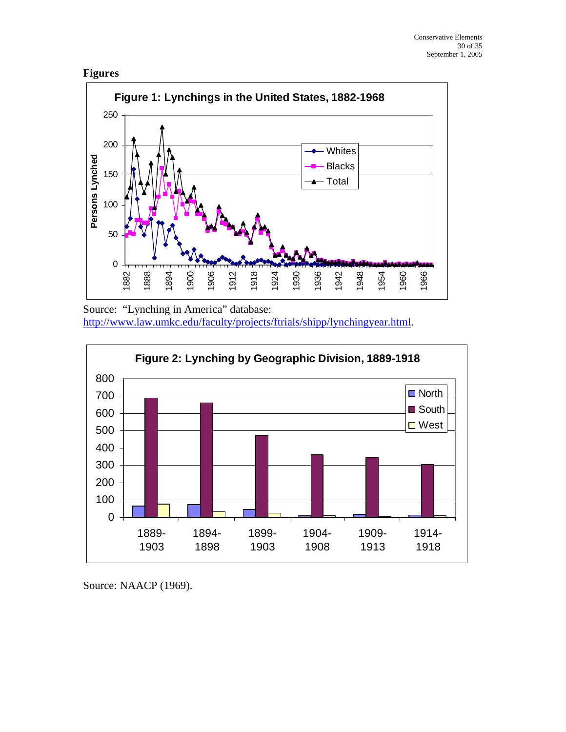



Source: "Lynching in America" database: [http://www.law.umkc.edu/faculty/projects/ftrials/shipp/lynchingyear.html.](http://www.law.umkc.edu/faculty/projects/ftrials/shipp/lynchingyear.html)



Source: NAACP (1969).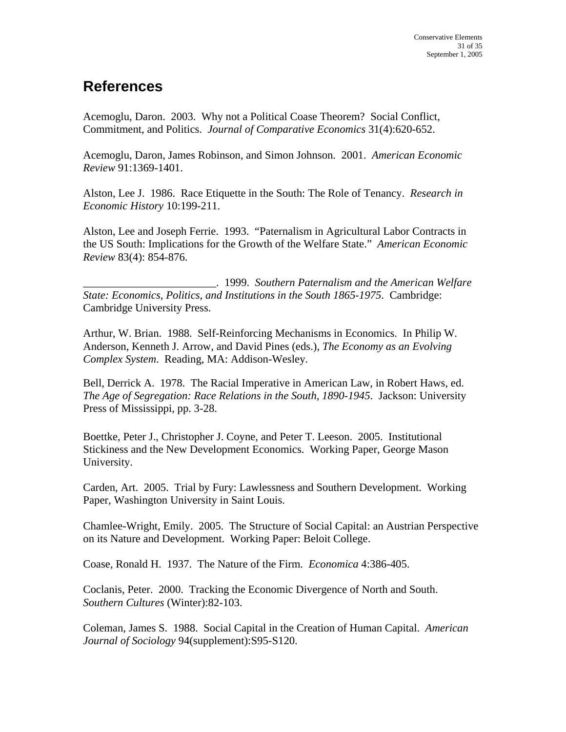# **References**

Acemoglu, Daron. 2003. Why not a Political Coase Theorem? Social Conflict, Commitment, and Politics. *Journal of Comparative Economics* 31(4):620-652.

Acemoglu, Daron, James Robinson, and Simon Johnson. 2001. *American Economic Review* 91:1369-1401.

Alston, Lee J. 1986. Race Etiquette in the South: The Role of Tenancy. *Research in Economic History* 10:199-211.

Alston, Lee and Joseph Ferrie. 1993. "Paternalism in Agricultural Labor Contracts in the US South: Implications for the Growth of the Welfare State." *American Economic Review* 83(4): 854-876.

\_\_\_\_\_\_\_\_\_\_\_\_\_\_\_\_\_\_\_\_\_\_\_\_. 1999. *Southern Paternalism and the American Welfare State: Economics, Politics, and Institutions in the South 1865-1975*. Cambridge: Cambridge University Press.

Arthur, W. Brian. 1988. Self-Reinforcing Mechanisms in Economics. In Philip W. Anderson, Kenneth J. Arrow, and David Pines (eds.), *The Economy as an Evolving Complex System*. Reading, MA: Addison-Wesley.

Bell, Derrick A. 1978. The Racial Imperative in American Law, in Robert Haws, ed. *The Age of Segregation: Race Relations in the South, 1890-1945*. Jackson: University Press of Mississippi, pp. 3-28.

Boettke, Peter J., Christopher J. Coyne, and Peter T. Leeson. 2005. Institutional Stickiness and the New Development Economics. Working Paper, George Mason University.

Carden, Art. 2005. Trial by Fury: Lawlessness and Southern Development. Working Paper, Washington University in Saint Louis.

Chamlee-Wright, Emily. 2005. The Structure of Social Capital: an Austrian Perspective on its Nature and Development. Working Paper: Beloit College.

Coase, Ronald H. 1937. The Nature of the Firm. *Economica* 4:386-405.

Coclanis, Peter. 2000. Tracking the Economic Divergence of North and South. *Southern Cultures* (Winter):82-103.

Coleman, James S. 1988. Social Capital in the Creation of Human Capital. *American Journal of Sociology* 94(supplement):S95-S120.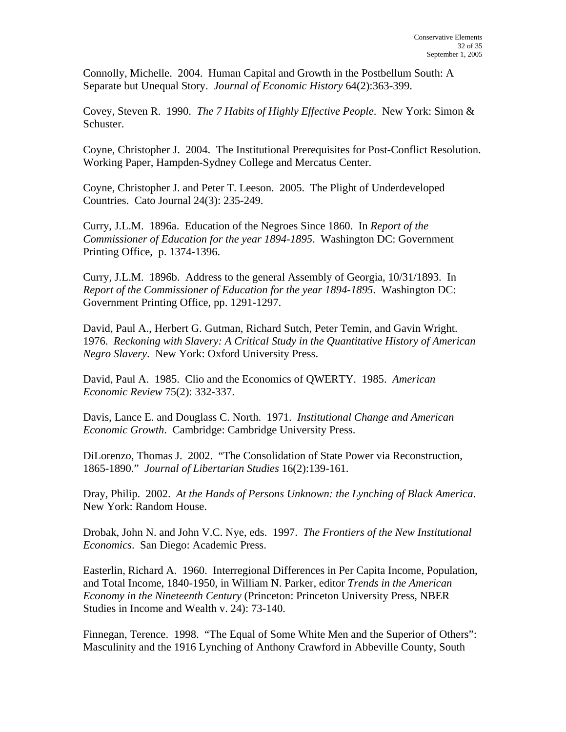Connolly, Michelle. 2004. Human Capital and Growth in the Postbellum South: A Separate but Unequal Story. *Journal of Economic History* 64(2):363-399.

Covey, Steven R. 1990. *The 7 Habits of Highly Effective People*. New York: Simon & Schuster.

Coyne, Christopher J. 2004. The Institutional Prerequisites for Post-Conflict Resolution. Working Paper, Hampden-Sydney College and Mercatus Center.

Coyne, Christopher J. and Peter T. Leeson. 2005. The Plight of Underdeveloped Countries. Cato Journal 24(3): 235-249.

Curry, J.L.M. 1896a. Education of the Negroes Since 1860. In *Report of the Commissioner of Education for the year 1894-1895*. Washington DC: Government Printing Office, p. 1374-1396.

Curry, J.L.M. 1896b. Address to the general Assembly of Georgia, 10/31/1893. In *Report of the Commissioner of Education for the year 1894-1895*. Washington DC: Government Printing Office, pp. 1291-1297.

David, Paul A., Herbert G. Gutman, Richard Sutch, Peter Temin, and Gavin Wright. 1976. *Reckoning with Slavery: A Critical Study in the Quantitative History of American Negro Slavery*. New York: Oxford University Press.

David, Paul A. 1985. Clio and the Economics of QWERTY. 1985. *American Economic Review* 75(2): 332-337.

Davis, Lance E. and Douglass C. North. 1971. *Institutional Change and American Economic Growth*. Cambridge: Cambridge University Press.

DiLorenzo, Thomas J. 2002. "The Consolidation of State Power via Reconstruction, 1865-1890." *Journal of Libertarian Studies* 16(2):139-161.

Dray, Philip. 2002. *At the Hands of Persons Unknown: the Lynching of Black America*. New York: Random House.

Drobak, John N. and John V.C. Nye, eds. 1997. *The Frontiers of the New Institutional Economics*. San Diego: Academic Press.

Easterlin, Richard A. 1960. Interregional Differences in Per Capita Income, Population, and Total Income, 1840-1950, in William N. Parker, editor *Trends in the American Economy in the Nineteenth Century* (Princeton: Princeton University Press, NBER Studies in Income and Wealth v. 24): 73-140.

Finnegan, Terence. 1998. "The Equal of Some White Men and the Superior of Others": Masculinity and the 1916 Lynching of Anthony Crawford in Abbeville County, South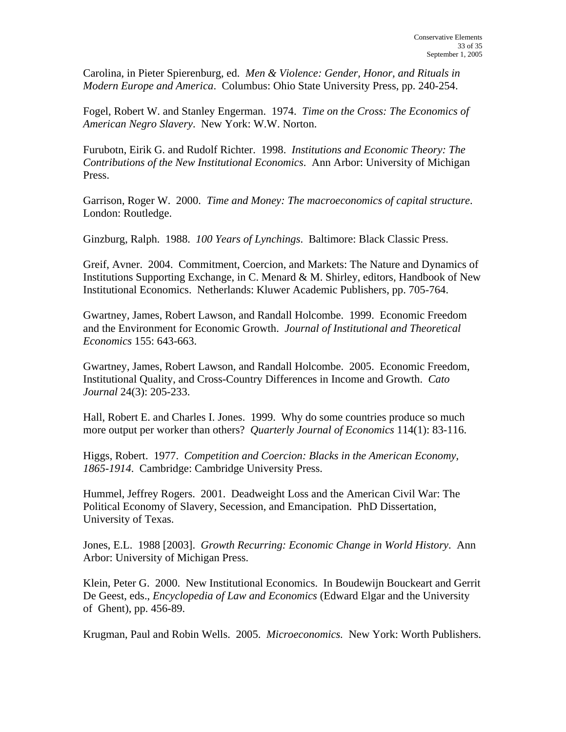Carolina, in Pieter Spierenburg, ed. *Men & Violence: Gender, Honor, and Rituals in Modern Europe and America*. Columbus: Ohio State University Press, pp. 240-254.

Fogel, Robert W. and Stanley Engerman. 1974. *Time on the Cross: The Economics of American Negro Slavery*. New York: W.W. Norton.

Furubotn, Eirik G. and Rudolf Richter. 1998. *Institutions and Economic Theory: The Contributions of the New Institutional Economics*. Ann Arbor: University of Michigan Press.

Garrison, Roger W. 2000. *Time and Money: The macroeconomics of capital structure*. London: Routledge.

Ginzburg, Ralph. 1988. *100 Years of Lynchings*. Baltimore: Black Classic Press.

Greif, Avner. 2004. Commitment, Coercion, and Markets: The Nature and Dynamics of Institutions Supporting Exchange, in C. Menard & M. Shirley, editors, Handbook of New Institutional Economics. Netherlands: Kluwer Academic Publishers, pp. 705-764.

Gwartney, James, Robert Lawson, and Randall Holcombe. 1999. Economic Freedom and the Environment for Economic Growth. *Journal of Institutional and Theoretical Economics* 155: 643-663.

Gwartney, James, Robert Lawson, and Randall Holcombe. 2005. Economic Freedom, Institutional Quality, and Cross-Country Differences in Income and Growth. *Cato Journal* 24(3): 205-233.

Hall, Robert E. and Charles I. Jones. 1999. Why do some countries produce so much more output per worker than others? *Quarterly Journal of Economics* 114(1): 83-116.

Higgs, Robert. 1977. *Competition and Coercion: Blacks in the American Economy, 1865-1914*. Cambridge: Cambridge University Press.

Hummel, Jeffrey Rogers. 2001. Deadweight Loss and the American Civil War: The Political Economy of Slavery, Secession, and Emancipation. PhD Dissertation, University of Texas.

Jones, E.L. 1988 [2003]. *Growth Recurring: Economic Change in World History*. Ann Arbor: University of Michigan Press.

Klein, Peter G. 2000. New Institutional Economics. In Boudewijn Bouckeart and Gerrit De Geest, eds., *Encyclopedia of Law and Economics* (Edward Elgar and the University of Ghent), pp. 456-89.

Krugman, Paul and Robin Wells. 2005. *Microeconomics.* New York: Worth Publishers.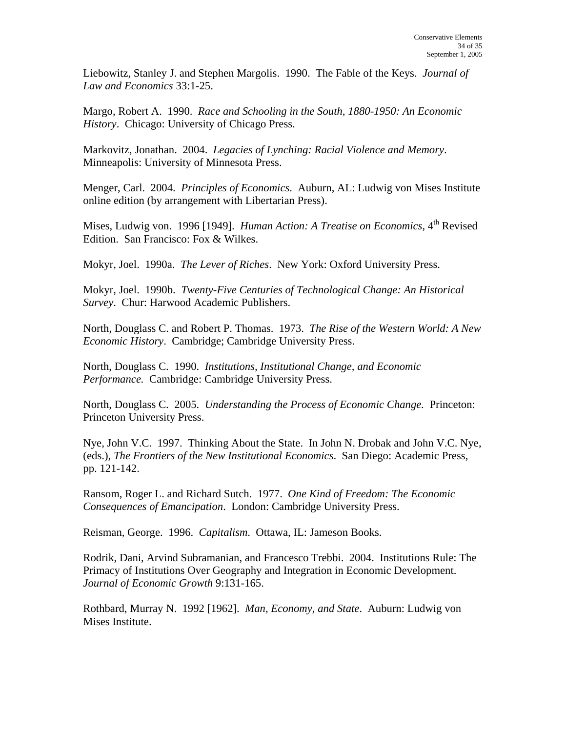Liebowitz, Stanley J. and Stephen Margolis. 1990. The Fable of the Keys. *Journal of Law and Economics* 33:1-25.

Margo, Robert A. 1990. *Race and Schooling in the South, 1880-1950: An Economic History*. Chicago: University of Chicago Press.

Markovitz, Jonathan. 2004. *Legacies of Lynching: Racial Violence and Memory*. Minneapolis: University of Minnesota Press.

Menger, Carl. 2004. *Principles of Economics*. Auburn, AL: Ludwig von Mises Institute online edition (by arrangement with Libertarian Press).

Mises, Ludwig von. 1996 [1949]. *Human Action: A Treatise on Economics*, 4<sup>th</sup> Revised Edition. San Francisco: Fox & Wilkes.

Mokyr, Joel. 1990a. *The Lever of Riches*. New York: Oxford University Press.

Mokyr, Joel. 1990b. *Twenty-Five Centuries of Technological Change: An Historical Survey*. Chur: Harwood Academic Publishers.

North, Douglass C. and Robert P. Thomas. 1973. *The Rise of the Western World: A New Economic History*. Cambridge; Cambridge University Press.

North, Douglass C. 1990. *Institutions, Institutional Change, and Economic Performance.* Cambridge: Cambridge University Press.

North, Douglass C. 2005. *Understanding the Process of Economic Change.* Princeton: Princeton University Press.

Nye, John V.C. 1997. Thinking About the State. In John N. Drobak and John V.C. Nye, (eds.), *The Frontiers of the New Institutional Economics*. San Diego: Academic Press, pp. 121-142.

Ransom, Roger L. and Richard Sutch. 1977. *One Kind of Freedom: The Economic Consequences of Emancipation*. London: Cambridge University Press.

Reisman, George. 1996. *Capitalism*. Ottawa, IL: Jameson Books.

Rodrik, Dani, Arvind Subramanian, and Francesco Trebbi. 2004. Institutions Rule: The Primacy of Institutions Over Geography and Integration in Economic Development. *Journal of Economic Growth* 9:131-165.

Rothbard, Murray N. 1992 [1962]. *Man, Economy, and State*. Auburn: Ludwig von Mises Institute.